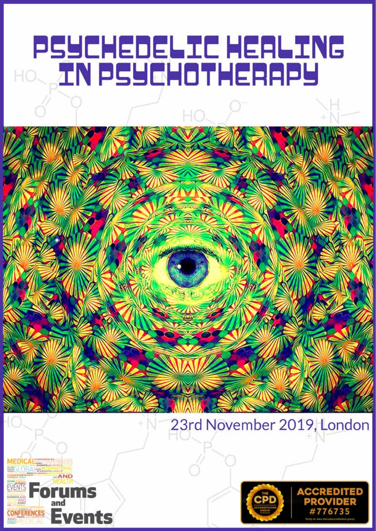## PSYCHEDELIC HEALING<br>AN PSYCHOTHERAPY **HO.**

## 23rd November 2019, London



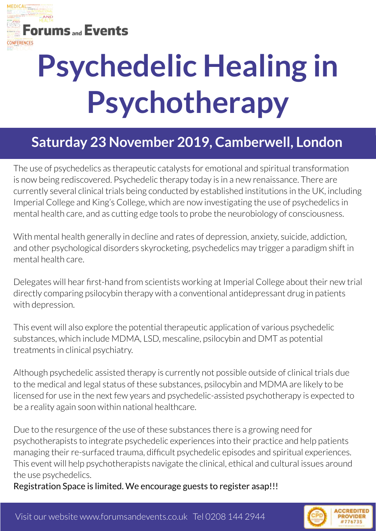

# **Psychedelic Healing in Psychotherapy**

## **Saturday 23 November 2019, Camberwell, London**

The use of psychedelics as therapeutic catalysts for emotional and spiritual transformation is now being rediscovered. Psychedelic therapy today is in a new renaissance. There are currently several clinical trials being conducted by established institutions in the UK, including Imperial College and King's College, which are now investigating the use of psychedelics in mental health care, and as cutting edge tools to probe the neurobiology of consciousness.

With mental health generally in decline and rates of depression, anxiety, suicide, addiction, and other psychological disorders skyrocketing, psychedelics may trigger a paradigm shift in mental health care.

Delegates will hear first-hand from scientists working at Imperial College about their new trial directly comparing psilocybin therapy with a conventional antidepressant drug in patients with depression.

This event will also explore the potential therapeutic application of various psychedelic substances, which include MDMA, LSD, mescaline, psilocybin and DMT as potential treatments in clinical psychiatry.

Although psychedelic assisted therapy is currently not possible outside of clinical trials due to the medical and legal status of these substances, psilocybin and MDMA are likely to be licensed for use in the next few years and psychedelic-assisted psychotherapy is expected to be a reality again soon within national healthcare.

Due to the resurgence of the use of these substances there is a growing need for psychotherapists to integrate psychedelic experiences into their practice and help patients managing their re-surfaced trauma, difficult psychedelic episodes and spiritual experiences. This event will help psychotherapists navigate the clinical, ethical and cultural issues around the use psychedelics.

Registration Space is limited. We encourage guests to register asap!!!

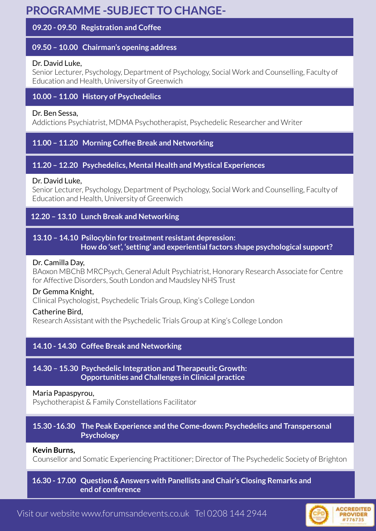### **PROGRAMME -SUBJECT TO CHANGE-**

#### **09.20 - 09.50 Registration and Coffee**

#### **09.50 – 10.00 Chairman's opening address**

#### Dr. David Luke,

Senior Lecturer, Psychology, Department of Psychology, Social Work and Counselling, Faculty of Education and Health, University of Greenwich

#### **10.00 – 11.00 History of Psychedelics**

#### Dr. Ben Sessa,

Addictions Psychiatrist, MDMA Psychotherapist, Psychedelic Researcher and Writer

#### **11.00 – 11.20 Morning Coffee Break and Networking**

#### **11.20 – 12.20 Psychedelics, Mental Health and Mystical Experiences**

#### Dr. David Luke,

Senior Lecturer, Psychology, Department of Psychology, Social Work and Counselling, Faculty of Education and Health, University of Greenwich

#### **12.20 – 13.10 Lunch Break and Networking**

#### **13.10 – 14.10 Psilocybin for treatment resistant depression: How do 'set', 'setting' and experiential factors shape psychological support?**

#### Dr. Camilla Day,

BAoxon MBChB MRCPsych, General Adult Psychiatrist, Honorary Research Associate for Centre for Affective Disorders, South London and Maudsley NHS Trust

#### Dr Gemma Knight,

Clinical Psychologist, Psychedelic Trials Group, King's College London

#### Catherine Bird,

Research Assistant with the Psychedelic Trials Group at King's College London

#### **14.10 - 14.30 Coffee Break and Networking**

#### **14.30 – 15.30 Psychedelic Integration and Therapeutic Growth: Opportunities and Challenges in Clinical practice**

#### Maria Papaspyrou,

Psychotherapist & Family Constellations Facilitator

#### **15.30 -16.30 The Peak Experience and the Come-down: Psychedelics and Transpersonal Psychology**

#### **Kevin Burns,**

Counsellor and Somatic Experiencing Practitioner; Director of The Psychedelic Society of Brighton

#### **16.30 - 17.00 Question & Answers with Panellists and Chair's Closing Remarks and end of conference**

Visit our website www.forumsandevents.co.uk Tel 0208 144 2944

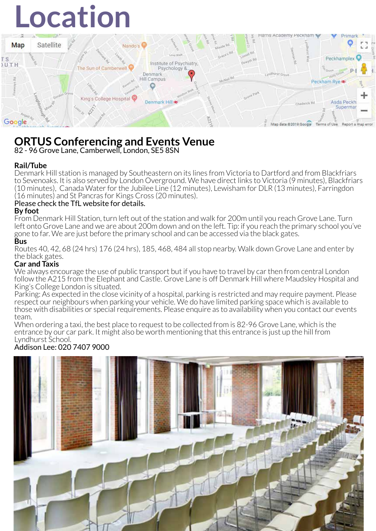# **Location**



### **ORTUS Conferencing and Events Venue**

82 - 96 Grove Lane, Camberwell, London, SE5 8SN

#### **Rail/Tube**

Denmark Hill station is managed by Southeastern on its lines from Victoria to Dartford and from Blackfriars to Sevenoaks. It is also served by London Overground. We have direct links to Victoria (9 minutes), Blackfriars (10 minutes), Canada Water for the Jubilee Line (12 minutes), Lewisham for DLR (13 minutes), Farringdon (16 minutes) and St Pancras for Kings Cross (20 minutes).

#### Please check the TfL website for details.

#### **By foot**

From Denmark Hill Station, turn left out of the station and walk for 200m until you reach Grove Lane. Turn left onto Grove Lane and we are about 200m down and on the left. Tip: if you reach the primary school you've gone to far. We are just before the primary school and can be accessed via the black gates.

#### **Bus**

Routes 40, 42, 68 (24 hrs) 176 (24 hrs), 185, 468, 484 all stop nearby. Walk down Grove Lane and enter by the black gates.

#### **Car and Taxis**

We always encourage the use of public transport but if you have to travel by car then from central London follow the A215 from the Elephant and Castle. Grove Lane is off Denmark Hill where Maudsley Hospital and King's College London is situated.

Parking: As expected in the close vicinity of a hospital, parking is restricted and may require payment. Please respect our neighbours when parking your vehicle. We do have limited parking space which is available to those with disabilities or special requirements. Please enquire as to availability when you contact our events team.

When ordering a taxi, the best place to request to be collected from is 82-96 Grove Lane, which is the entrance by our car park. It might also be worth mentioning that this entrance is just up the hill from Lyndhurst School.

#### Addison Lee: 020 7407 9000